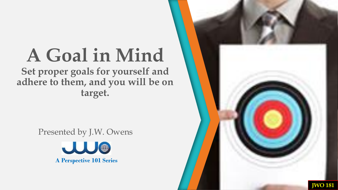**Set proper goals for yourself and adhere to them, and you will be on target.**

Presented by J.W. Owens



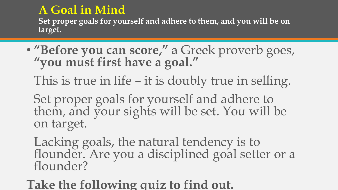**Set proper goals for yourself and adhere to them, and you will be on target.**

• **"Before you can score,"** a Greek proverb goes, **"you must first have a goal."** 

This is true in life – it is doubly true in selling.

Set proper goals for yourself and adhere to them, and your sights will be set. You will be on target.

Lacking goals, the natural tendency is to flounder. Are you a disciplined goal setter or a flounder?

**Take the following quiz to find out.**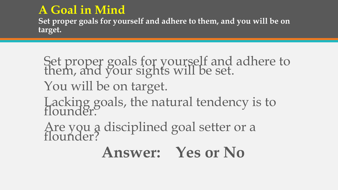**Set proper goals for yourself and adhere to them, and you will be on target.**

### Set proper goals for yourself and adhere to them, and your sights will be set. You will be on target. Lacking goals, the natural tendency is to flounder. Are you a disciplined goal setter or a flounder?

### **Answer: Yes or No**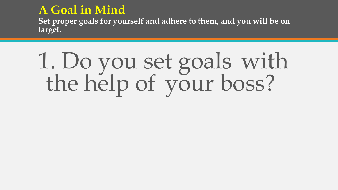**Set proper goals for yourself and adhere to them, and you will be on target.**

# 1. Do you set goals with the help of your boss?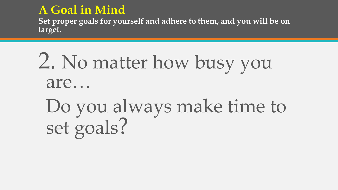**Set proper goals for yourself and adhere to them, and you will be on target.**

### 2. No matter how busy you are…

### Do you always make time to set goals?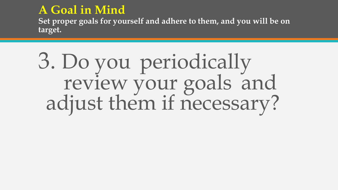**Set proper goals for yourself and adhere to them, and you will be on target.**

### 3. Do you periodically review your goals and adjust them if necessary?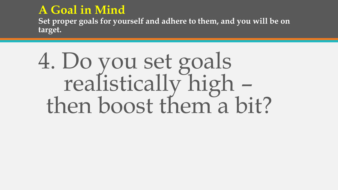**Set proper goals for yourself and adhere to them, and you will be on target.**

### 4. Do you set goals realistically high – then boost them a bit?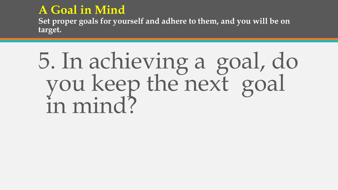**Set proper goals for yourself and adhere to them, and you will be on target.**

## 5. In achieving a goal, do you keep the next goal in mind?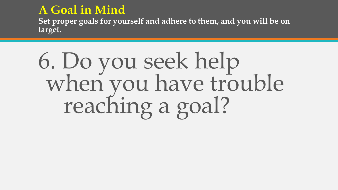**Set proper goals for yourself and adhere to them, and you will be on target.**

## 6. Do you seek help when you have trouble reaching a goal?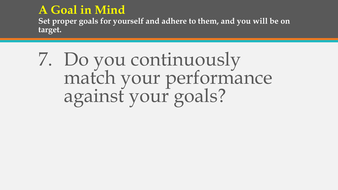**Set proper goals for yourself and adhere to them, and you will be on target.**

### 7. Do you continuously match your performance against your goals?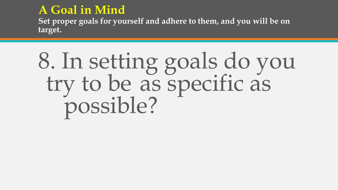**Set proper goals for yourself and adhere to them, and you will be on target.**

## 8. In setting goals do you try to be as specific as possible?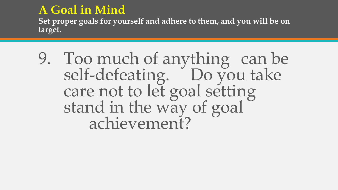**Set proper goals for yourself and adhere to them, and you will be on target.**

9. Too much of anything can be self-defeating. Do you take care not to let goal setting stand in the way of goal achievement?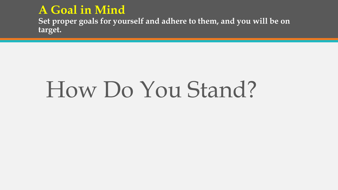**Set proper goals for yourself and adhere to them, and you will be on target.**

## How Do You Stand?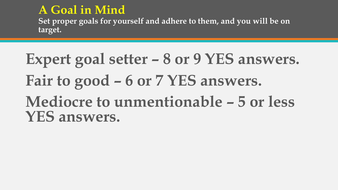**Set proper goals for yourself and adhere to them, and you will be on target.**

### **Expert goal setter – 8 or 9 YES answers. Fair to good – 6 or 7 YES answers. Mediocre to unmentionable – 5 or less YES answers.**